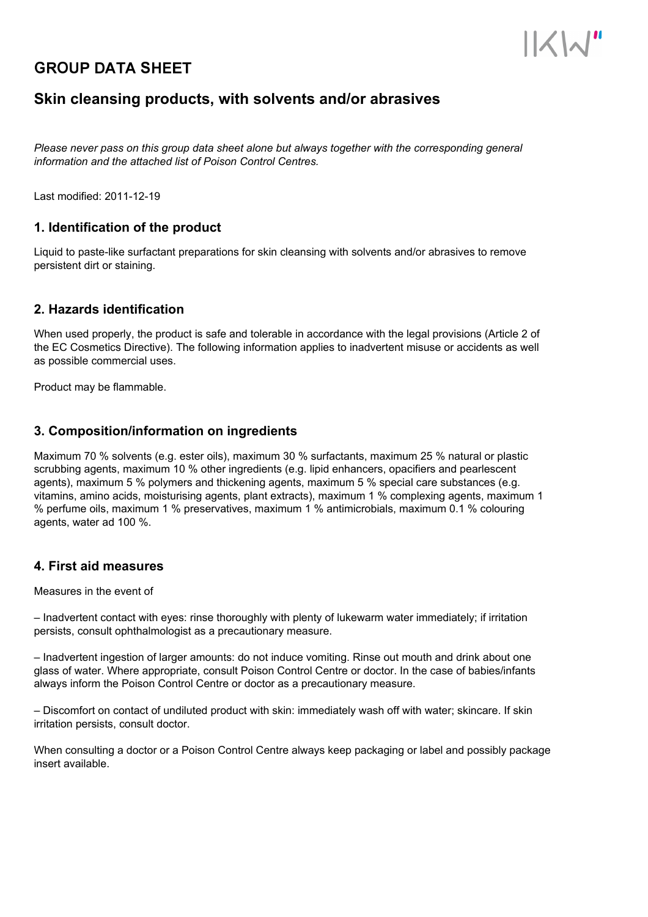# **GROUP DATA SHEET**



## **Skin cleansing products, with solvents and/or abrasives**

*Please never pass on this group data sheet alone but always together with the corresponding general information and the attached list of Poison Control Centres.*

Last modified: 2011-12-19

## **1. Identification of the product**

Liquid to paste-like surfactant preparations for skin cleansing with solvents and/or abrasives to remove persistent dirt or staining.

## **2. Hazards identification**

When used properly, the product is safe and tolerable in accordance with the legal provisions (Article 2 of the EC Cosmetics Directive). The following information applies to inadvertent misuse or accidents as well as possible commercial uses.

Product may be flammable.

## **3. Composition/information on ingredients**

Maximum 70 % solvents (e.g. ester oils), maximum 30 % surfactants, maximum 25 % natural or plastic scrubbing agents, maximum 10 % other ingredients (e.g. lipid enhancers, opacifiers and pearlescent agents), maximum 5 % polymers and thickening agents, maximum 5 % special care substances (e.g. vitamins, amino acids, moisturising agents, plant extracts), maximum 1 % complexing agents, maximum 1 % perfume oils, maximum 1 % preservatives, maximum 1 % antimicrobials, maximum 0.1 % colouring agents, water ad 100 %.

### **4. First aid measures**

#### Measures in the event of

– Inadvertent contact with eyes: rinse thoroughly with plenty of lukewarm water immediately; if irritation persists, consult ophthalmologist as a precautionary measure.

– Inadvertent ingestion of larger amounts: do not induce vomiting. Rinse out mouth and drink about one glass of water. Where appropriate, consult Poison Control Centre or doctor. In the case of babies/infants always inform the Poison Control Centre or doctor as a precautionary measure.

– Discomfort on contact of undiluted product with skin: immediately wash off with water; skincare. If skin irritation persists, consult doctor.

When consulting a doctor or a Poison Control Centre always keep packaging or label and possibly package insert available.